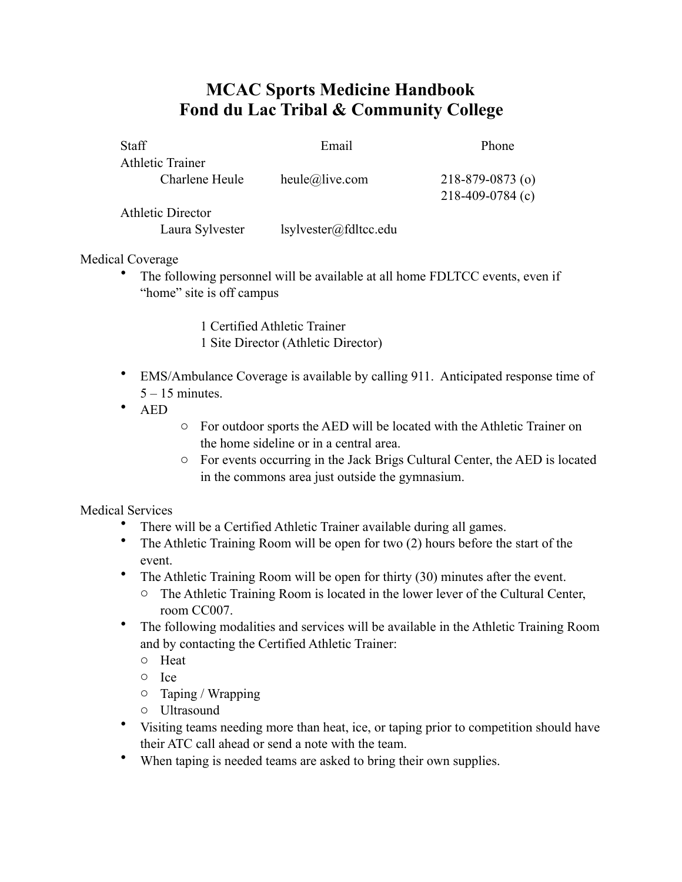## **MCAC Sports Medicine Handbook Fond du Lac Tribal & Community College**

| <b>Staff</b>            | Email          | Phone                  |
|-------------------------|----------------|------------------------|
| <b>Athletic Trainer</b> |                |                        |
| Charlene Heule          | heule@live.com | $218 - 879 - 0873$ (o) |
|                         |                | $218-409-0784$ (c)     |
| Athletic Director       |                |                        |

Laura Sylvester lsylvester@fdltcc.edu

## Medical Coverage

• The following personnel will be available at all home FDLTCC events, even if "home" site is off campus

> 1 Certified Athletic Trainer 1 Site Director (Athletic Director)

- EMS/Ambulance Coverage is available by calling 911. Anticipated response time of  $5 - 15$  minutes.
- AED
- o For outdoor sports the AED will be located with the Athletic Trainer on the home sideline or in a central area.
- o For events occurring in the Jack Brigs Cultural Center, the AED is located in the commons area just outside the gymnasium.

Medical Services

- There will be a Certified Athletic Trainer available during all games.
- The Athletic Training Room will be open for two (2) hours before the start of the event.
- The Athletic Training Room will be open for thirty (30) minutes after the event.
	- o The Athletic Training Room is located in the lower lever of the Cultural Center, room CC007.
- The following modalities and services will be available in the Athletic Training Room and by contacting the Certified Athletic Trainer:
	- o Heat
	- o Ice
	- o Taping / Wrapping
	- o Ultrasound
- Visiting teams needing more than heat, ice, or taping prior to competition should have their ATC call ahead or send a note with the team.
- When taping is needed teams are asked to bring their own supplies.